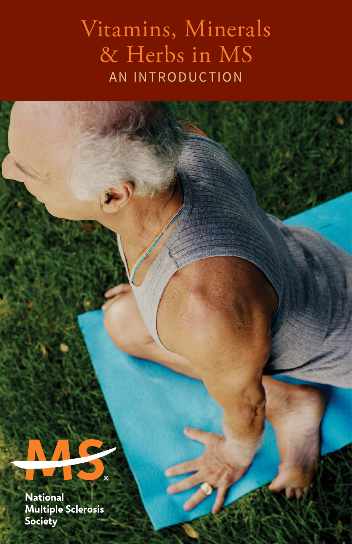## Vitamins, Minerals & Herbs in MS AN INTRODUCTION

**National Multiple Sclerosis** Society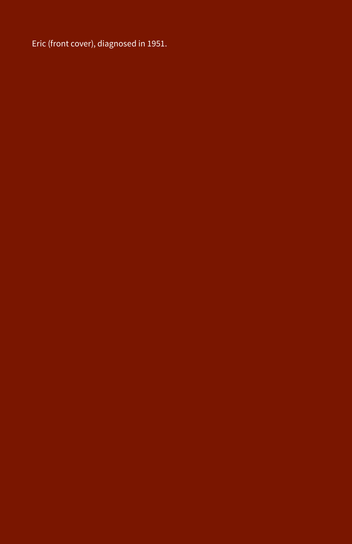Eric (front cover), diagnosed in 1951.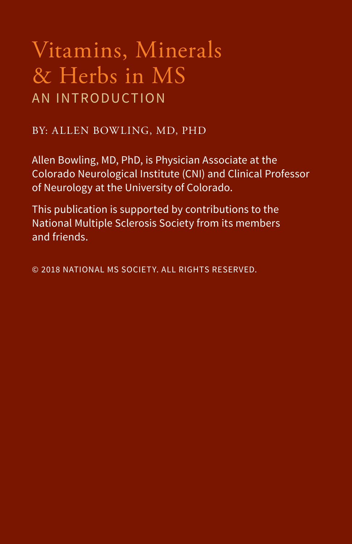## Vitamins, Minerals & Herbs in MS AN INTRODUCTION

#### BY: ALLEN BOWLING, MD, PHD

Allen Bowling, MD, PhD, is Physician Associate at the Colorado Neurological Institute (CNI) and Clinical Professor of Neurology at the University of Colorado.

This publication is supported by contributions to the National Multiple Sclerosis Society from its members and friends.

© 2018 NATIONAL MS SOCIETY. ALL RIGHTS RESERVED.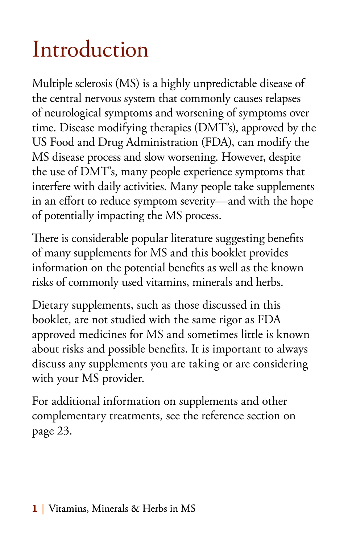# Introduction

Multiple sclerosis (MS) is a highly unpredictable disease of the central nervous system that commonly causes relapses of neurological symptoms and worsening of symptoms over time. Disease modifying therapies (DMT's), approved by the US Food and Drug Administration (FDA), can modify the MS disease process and slow worsening. However, despite the use of DMT's, many people experience symptoms that interfere with daily activities. Many people take supplements in an effort to reduce symptom severity—and with the hope of potentially impacting the MS process.

There is considerable popular literature suggesting benefits of many supplements for MS and this booklet provides information on the potential benefits as well as the known risks of commonly used vitamins, minerals and herbs.

Dietary supplements, such as those discussed in this booklet, are not studied with the same rigor as FDA approved medicines for MS and sometimes little is known about risks and possible benefits. It is important to always discuss any supplements you are taking or are considering with your MS provider.

For additional information on supplements and other complementary treatments, see the reference section on page 23.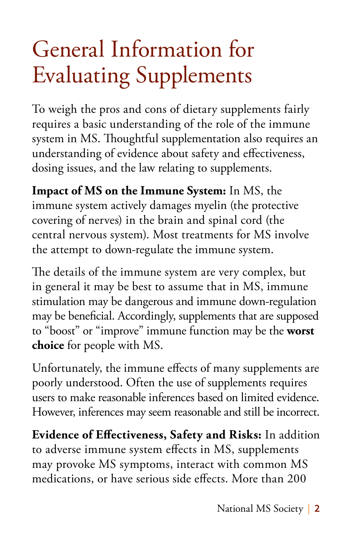# General Information for Evaluating Supplements

To weigh the pros and cons of dietary supplements fairly requires a basic understanding of the role of the immune system in MS. Thoughtful supplementation also requires an understanding of evidence about safety and effectiveness, dosing issues, and the law relating to supplements.

**Impact of MS on the Immune System:** In MS, the immune system actively damages myelin (the protective covering of nerves) in the brain and spinal cord (the central nervous system). Most treatments for MS involve the attempt to down-regulate the immune system.

The details of the immune system are very complex, but in general it may be best to assume that in MS, immune stimulation may be dangerous and immune down-regulation may be beneficial. Accordingly, supplements that are supposed to "boost" or "improve" immune function may be the **worst choice** for people with MS.

Unfortunately, the immune effects of many supplements are poorly understood. Often the use of supplements requires users to make reasonable inferences based on limited evidence. However, inferences may seem reasonable and still be incorrect.

**Evidence of Effectiveness, Safety and Risks:** In addition to adverse immune system effects in MS, supplements may provoke MS symptoms, interact with common MS medications, or have serious side effects. More than 200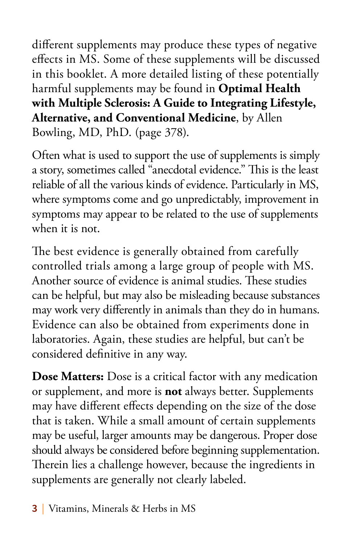different supplements may produce these types of negative effects in MS. Some of these supplements will be discussed in this booklet. A more detailed listing of these potentially harmful supplements may be found in **Optimal Health with Multiple Sclerosis: A Guide to Integrating Lifestyle, Alternative, and Conventional Medicine**, by Allen Bowling, MD, PhD. (page 378).

Often what is used to support the use of supplements is simply a story, sometimes called "anecdotal evidence." This is the least reliable of all the various kinds of evidence. Particularly in MS, where symptoms come and go unpredictably, improvement in symptoms may appear to be related to the use of supplements when it is not.

The best evidence is generally obtained from carefully controlled trials among a large group of people with MS. Another source of evidence is animal studies. These studies can be helpful, but may also be misleading because substances may work very differently in animals than they do in humans. Evidence can also be obtained from experiments done in laboratories. Again, these studies are helpful, but can't be considered definitive in any way.

**Dose Matters:** Dose is a critical factor with any medication or supplement, and more is **not** always better. Supplements may have different effects depending on the size of the dose that is taken. While a small amount of certain supplements may be useful, larger amounts may be dangerous. Proper dose should always be considered before beginning supplementation. Therein lies a challenge however, because the ingredients in supplements are generally not clearly labeled.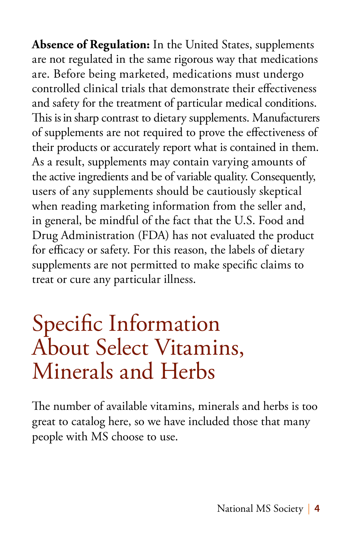**Absence of Regulation:** In the United States, supplements are not regulated in the same rigorous way that medications are. Before being marketed, medications must undergo controlled clinical trials that demonstrate their effectiveness and safety for the treatment of particular medical conditions. This is in sharp contrast to dietary supplements. Manufacturers of supplements are not required to prove the effectiveness of their products or accurately report what is contained in them. As a result, supplements may contain varying amounts of the active ingredients and be of variable quality. Consequently, users of any supplements should be cautiously skeptical when reading marketing information from the seller and, in general, be mindful of the fact that the U.S. Food and Drug Administration (FDA) has not evaluated the product for efficacy or safety. For this reason, the labels of dietary supplements are not permitted to make specific claims to treat or cure any particular illness.

## Specific Information About Select Vitamins, Minerals and Herbs

The number of available vitamins, minerals and herbs is too great to catalog here, so we have included those that many people with MS choose to use.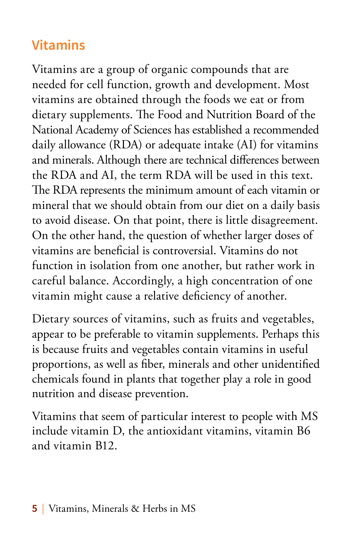## **Vitamins**

Vitamins are a group of organic compounds that are needed for cell function, growth and development. Most vitamins are obtained through the foods we eat or from dietary supplements. The Food and Nutrition Board of the National Academy of Sciences has established a recommended daily allowance (RDA) or adequate intake (AI) for vitamins and minerals. Although there are technical differences between the RDA and AI, the term RDA will be used in this text. The RDA represents the minimum amount of each vitamin or mineral that we should obtain from our diet on a daily basis to avoid disease. On that point, there is little disagreement. On the other hand, the question of whether larger doses of vitamins are beneficial is controversial. Vitamins do not function in isolation from one another, but rather work in careful balance. Accordingly, a high concentration of one vitamin might cause a relative deficiency of another.

Dietary sources of vitamins, such as fruits and vegetables, appear to be preferable to vitamin supplements. Perhaps this is because fruits and vegetables contain vitamins in useful proportions, as well as fiber, minerals and other unidentified chemicals found in plants that together play a role in good nutrition and disease prevention.

Vitamins that seem of particular interest to people with MS include vitamin D, the antioxidant vitamins, vitamin B6 and vitamin B12.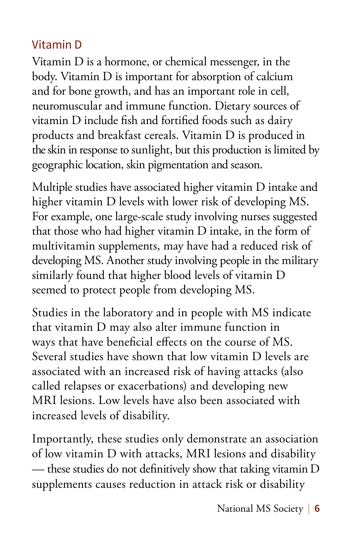#### Vitamin D

Vitamin D is a hormone, or chemical messenger, in the body. Vitamin D is important for absorption of calcium and for bone growth, and has an important role in cell, neuromuscular and immune function. Dietary sources of vitamin D include fish and fortified foods such as dairy products and breakfast cereals. Vitamin D is produced in the skin in response to sunlight, but this production is limited by geographic location, skin pigmentation and season.

Multiple studies have associated higher vitamin D intake and higher vitamin D levels with lower risk of developing MS. For example, one large-scale study involving nurses suggested that those who had higher vitamin D intake, in the form of multivitamin supplements, may have had a reduced risk of developing MS. Another study involving people in the military similarly found that higher blood levels of vitamin D seemed to protect people from developing MS.

Studies in the laboratory and in people with MS indicate that vitamin D may also alter immune function in ways that have beneficial effects on the course of MS. Several studies have shown that low vitamin D levels are associated with an increased risk of having attacks (also called relapses or exacerbations) and developing new MRI lesions. Low levels have also been associated with increased levels of disability.

Importantly, these studies only demonstrate an association of low vitamin D with attacks, MRI lesions and disability — these studies do not definitively show that taking vitamin D supplements causes reduction in attack risk or disability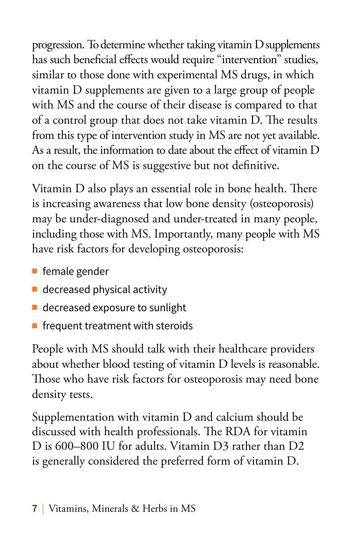progression. To determine whether taking vitamin D supplements has such beneficial effects would require "intervention" studies, similar to those done with experimental MS drugs, in which vitamin D supplements are given to a large group of people with MS and the course of their disease is compared to that of a control group that does not take vitamin D. The results from this type of intervention study in MS are not yet available. As a result, the information to date about the effect of vitamin D on the course of MS is suggestive but not definitive.

Vitamin D also plays an essential role in bone health. There is increasing awareness that low bone density (osteoporosis) may be under-diagnosed and under-treated in many people, including those with MS. Importantly, many people with MS have risk factors for developing osteoporosis:

- $\blacksquare$  female gender
- $\blacksquare$  decreased physical activity
- $\blacksquare$  decreased exposure to sunlight
- $\blacksquare$  frequent treatment with steroids

People with MS should talk with their healthcare providers about whether blood testing of vitamin D levels is reasonable. Those who have risk factors for osteoporosis may need bone density tests.

Supplementation with vitamin D and calcium should be discussed with health professionals. The RDA for vitamin D is 600–800 IU for adults. Vitamin D3 rather than D2 is generally considered the preferred form of vitamin D.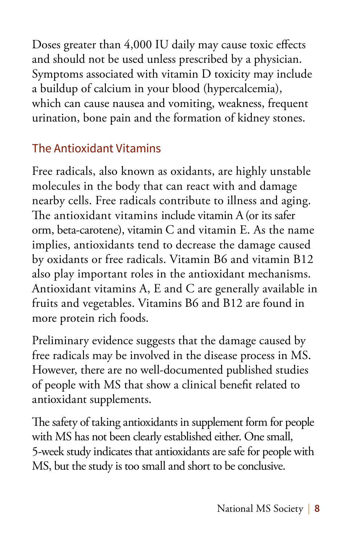Doses greater than 4,000 IU daily may cause toxic effects and should not be used unless prescribed by a physician. Symptoms associated with vitamin D toxicity may include a buildup of calcium in your blood (hypercalcemia), which can cause nausea and vomiting, weakness, frequent urination, bone pain and the formation of kidney stones.

### The Antioxidant Vitamins

Free radicals, also known as oxidants, are highly unstable molecules in the body that can react with and damage nearby cells. Free radicals contribute to illness and aging. The antioxidant vitamins include vitamin A (or its safer orm, beta-carotene), vitamin C and vitamin E. As the name implies, antioxidants tend to decrease the damage caused by oxidants or free radicals. Vitamin B6 and vitamin B12 also play important roles in the antioxidant mechanisms. Antioxidant vitamins A, E and C are generally available in fruits and vegetables. Vitamins B6 and B12 are found in more protein rich foods.

Preliminary evidence suggests that the damage caused by free radicals may be involved in the disease process in MS. However, there are no well-documented published studies of people with MS that show a clinical benefit related to antioxidant supplements.

The safety of taking antioxidants in supplement form for people with MS has not been clearly established either. One small, 5-week study indicates that antioxidants are safe for people with MS, but the study is too small and short to be conclusive.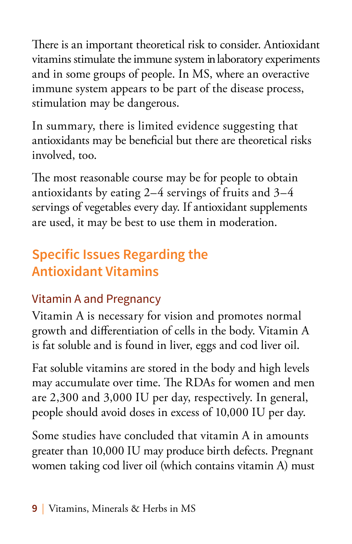There is an important theoretical risk to consider. Antioxidant vitamins stimulate the immune system in laboratory experiments and in some groups of people. In MS, where an overactive immune system appears to be part of the disease process, stimulation may be dangerous.

In summary, there is limited evidence suggesting that antioxidants may be beneficial but there are theoretical risks involved, too.

The most reasonable course may be for people to obtain antioxidants by eating 2–4 servings of fruits and 3–4 servings of vegetables every day. If antioxidant supplements are used, it may be best to use them in moderation.

## **Specific Issues Regarding the Antioxidant Vitamins**

## Vitamin A and Pregnancy

Vitamin A is necessary for vision and promotes normal growth and differentiation of cells in the body. Vitamin A is fat soluble and is found in liver, eggs and cod liver oil.

Fat soluble vitamins are stored in the body and high levels may accumulate over time. The RDAs for women and men are 2,300 and 3,000 IU per day, respectively. In general, people should avoid doses in excess of 10,000 IU per day.

Some studies have concluded that vitamin A in amounts greater than 10,000 IU may produce birth defects. Pregnant women taking cod liver oil (which contains vitamin A) must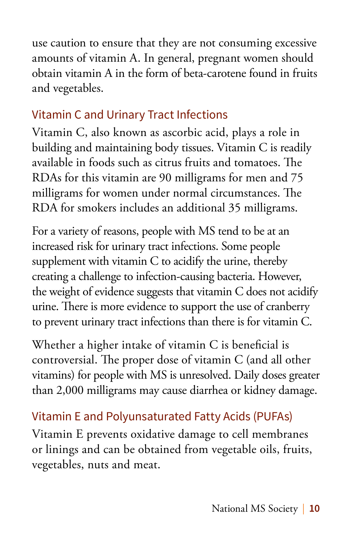use caution to ensure that they are not consuming excessive amounts of vitamin A. In general, pregnant women should obtain vitamin A in the form of beta-carotene found in fruits and vegetables.

### Vitamin C and Urinary Tract Infections

Vitamin C, also known as ascorbic acid, plays a role in building and maintaining body tissues. Vitamin C is readily available in foods such as citrus fruits and tomatoes. The RDAs for this vitamin are 90 milligrams for men and 75 milligrams for women under normal circumstances. The RDA for smokers includes an additional 35 milligrams.

For a variety of reasons, people with MS tend to be at an increased risk for urinary tract infections. Some people supplement with vitamin C to acidify the urine, thereby creating a challenge to infection-causing bacteria. However, the weight of evidence suggests that vitamin C does not acidify urine. There is more evidence to support the use of cranberry to prevent urinary tract infections than there is for vitamin C.

Whether a higher intake of vitamin C is beneficial is controversial. The proper dose of vitamin C (and all other vitamins) for people with MS is unresolved. Daily doses greater than 2,000 milligrams may cause diarrhea or kidney damage.

## Vitamin E and Polyunsaturated Fatty Acids (PUFAs)

Vitamin E prevents oxidative damage to cell membranes or linings and can be obtained from vegetable oils, fruits, vegetables, nuts and meat.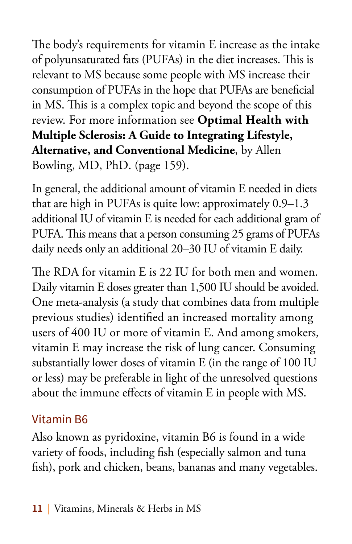The body's requirements for vitamin E increase as the intake of polyunsaturated fats (PUFAs) in the diet increases. This is relevant to MS because some people with MS increase their consumption of PUFAs in the hope that PUFAs are beneficial in MS. This is a complex topic and beyond the scope of this review. For more information see **Optimal Health with Multiple Sclerosis: A Guide to Integrating Lifestyle, Alternative, and Conventional Medicine**, by Allen Bowling, MD, PhD. (page 159).

In general, the additional amount of vitamin E needed in diets that are high in PUFAs is quite low: approximately 0.9–1.3 additional IU of vitamin E is needed for each additional gram of PUFA. This means that a person consuming 25 grams of PUFAs daily needs only an additional 20–30 IU of vitamin E daily.

The RDA for vitamin E is 22 IU for both men and women. Daily vitamin E doses greater than 1,500 IU should be avoided. One meta-analysis (a study that combines data from multiple previous studies) identified an increased mortality among users of 400 IU or more of vitamin E. And among smokers, vitamin E may increase the risk of lung cancer. Consuming substantially lower doses of vitamin E (in the range of 100 IU or less) may be preferable in light of the unresolved questions about the immune effects of vitamin E in people with MS.

#### Vitamin B6

Also known as pyridoxine, vitamin B6 is found in a wide variety of foods, including fish (especially salmon and tuna fish), pork and chicken, beans, bananas and many vegetables.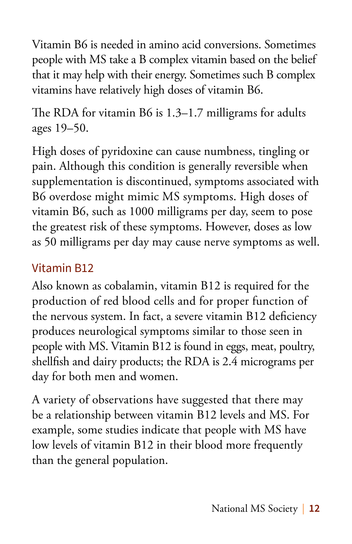Vitamin B6 is needed in amino acid conversions. Sometimes people with MS take a B complex vitamin based on the belief that it may help with their energy. Sometimes such B complex vitamins have relatively high doses of vitamin B6.

The RDA for vitamin B6 is 1.3–1.7 milligrams for adults ages 19–50.

High doses of pyridoxine can cause numbness, tingling or pain. Although this condition is generally reversible when supplementation is discontinued, symptoms associated with B6 overdose might mimic MS symptoms. High doses of vitamin B6, such as 1000 milligrams per day, seem to pose the greatest risk of these symptoms. However, doses as low as 50 milligrams per day may cause nerve symptoms as well.

### Vitamin B12

Also known as cobalamin, vitamin B12 is required for the production of red blood cells and for proper function of the nervous system. In fact, a severe vitamin B12 deficiency produces neurological symptoms similar to those seen in people with MS. Vitamin B12 is found in eggs, meat, poultry, shellfish and dairy products; the RDA is 2.4 micrograms per day for both men and women.

A variety of observations have suggested that there may be a relationship between vitamin B12 levels and MS. For example, some studies indicate that people with MS have low levels of vitamin B12 in their blood more frequently than the general population.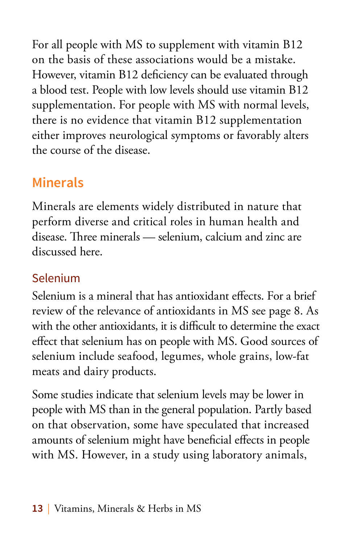For all people with MS to supplement with vitamin B12 on the basis of these associations would be a mistake. However, vitamin B12 deficiency can be evaluated through a blood test. People with low levels should use vitamin B12 supplementation. For people with MS with normal levels, there is no evidence that vitamin B12 supplementation either improves neurological symptoms or favorably alters the course of the disease.

## **Minerals**

Minerals are elements widely distributed in nature that perform diverse and critical roles in human health and disease. Three minerals — selenium, calcium and zinc are discussed here.

### Selenium

Selenium is a mineral that has antioxidant effects. For a brief review of the relevance of antioxidants in MS see page 8. As with the other antioxidants, it is difficult to determine the exact effect that selenium has on people with MS. Good sources of selenium include seafood, legumes, whole grains, low-fat meats and dairy products.

Some studies indicate that selenium levels may be lower in people with MS than in the general population. Partly based on that observation, some have speculated that increased amounts of selenium might have beneficial effects in people with MS. However, in a study using laboratory animals,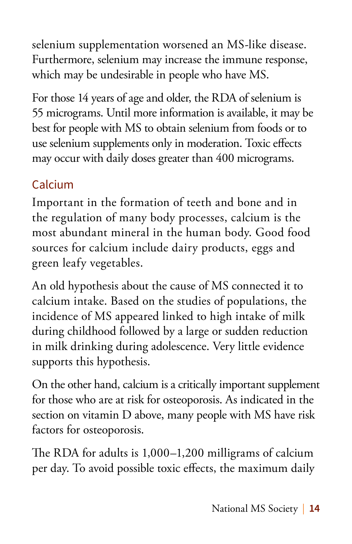selenium supplementation worsened an MS-like disease. Furthermore, selenium may increase the immune response, which may be undesirable in people who have MS.

For those 14 years of age and older, the RDA of selenium is 55 micrograms. Until more information is available, it may be best for people with MS to obtain selenium from foods or to use selenium supplements only in moderation. Toxic effects may occur with daily doses greater than 400 micrograms.

## Calcium

Important in the formation of teeth and bone and in the regulation of many body processes, calcium is the most abundant mineral in the human body. Good food sources for calcium include dairy products, eggs and green leafy vegetables.

An old hypothesis about the cause of MS connected it to calcium intake. Based on the studies of populations, the incidence of MS appeared linked to high intake of milk during childhood followed by a large or sudden reduction in milk drinking during adolescence. Very little evidence supports this hypothesis.

On the other hand, calcium is a critically important supplement for those who are at risk for osteoporosis. As indicated in the section on vitamin D above, many people with MS have risk factors for osteoporosis.

The RDA for adults is 1,000–1,200 milligrams of calcium per day. To avoid possible toxic effects, the maximum daily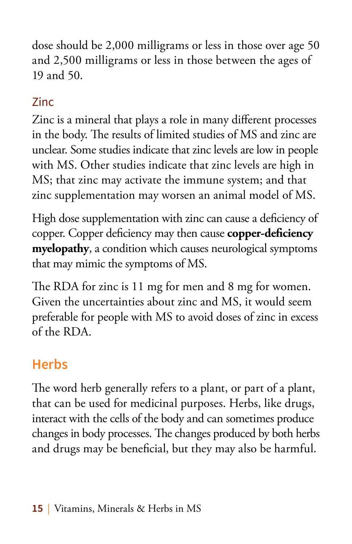dose should be 2,000 milligrams or less in those over age 50 and 2,500 milligrams or less in those between the ages of 19 and 50.

## Zinc

Zinc is a mineral that plays a role in many different processes in the body. The results of limited studies of MS and zinc are unclear. Some studies indicate that zinc levels are low in people with MS. Other studies indicate that zinc levels are high in MS; that zinc may activate the immune system; and that zinc supplementation may worsen an animal model of MS.

High dose supplementation with zinc can cause a deficiency of copper. Copper deficiency may then cause **copper-deficiency myelopathy**, a condition which causes neurological symptoms that may mimic the symptoms of MS.

The RDA for zinc is 11 mg for men and 8 mg for women. Given the uncertainties about zinc and MS, it would seem preferable for people with MS to avoid doses of zinc in excess of the RDA.

## **Herbs**

The word herb generally refers to a plant, or part of a plant, that can be used for medicinal purposes. Herbs, like drugs, interact with the cells of the body and can sometimes produce changes in body processes. The changes produced by both herbs and drugs may be beneficial, but they may also be harmful.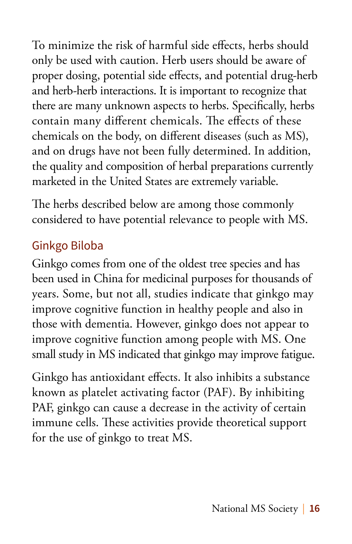To minimize the risk of harmful side effects, herbs should only be used with caution. Herb users should be aware of proper dosing, potential side effects, and potential drug-herb and herb-herb interactions. It is important to recognize that there are many unknown aspects to herbs. Specifically, herbs contain many different chemicals. The effects of these chemicals on the body, on different diseases (such as MS), and on drugs have not been fully determined. In addition, the quality and composition of herbal preparations currently marketed in the United States are extremely variable.

The herbs described below are among those commonly considered to have potential relevance to people with MS.

### Ginkgo Biloba

Ginkgo comes from one of the oldest tree species and has been used in China for medicinal purposes for thousands of years. Some, but not all, studies indicate that ginkgo may improve cognitive function in healthy people and also in those with dementia. However, ginkgo does not appear to improve cognitive function among people with MS. One small study in MS indicated that ginkgo may improve fatigue.

Ginkgo has antioxidant effects. It also inhibits a substance known as platelet activating factor (PAF). By inhibiting PAF, ginkgo can cause a decrease in the activity of certain immune cells. These activities provide theoretical support for the use of ginkgo to treat MS.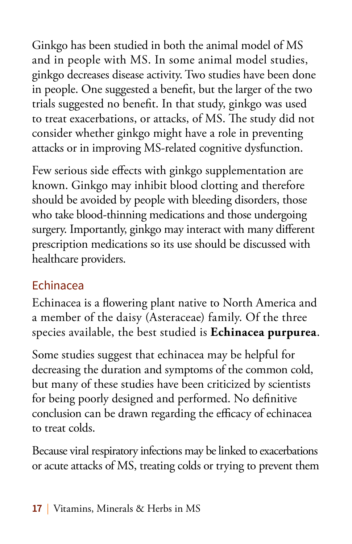Ginkgo has been studied in both the animal model of MS and in people with MS. In some animal model studies, ginkgo decreases disease activity. Two studies have been done in people. One suggested a benefit, but the larger of the two trials suggested no benefit. In that study, ginkgo was used to treat exacerbations, or attacks, of MS. The study did not consider whether ginkgo might have a role in preventing attacks or in improving MS-related cognitive dysfunction.

Few serious side effects with ginkgo supplementation are known. Ginkgo may inhibit blood clotting and therefore should be avoided by people with bleeding disorders, those who take blood-thinning medications and those undergoing surgery. Importantly, ginkgo may interact with many different prescription medications so its use should be discussed with healthcare providers.

#### Echinacea

Echinacea is a flowering plant native to North America and a member of the daisy (Asteraceae) family. Of the three species available, the best studied is **Echinacea purpurea**.

Some studies suggest that echinacea may be helpful for decreasing the duration and symptoms of the common cold, but many of these studies have been criticized by scientists for being poorly designed and performed. No definitive conclusion can be drawn regarding the efficacy of echinacea to treat colds.

Because viral respiratory infections may be linked to exacerbations or acute attacks of MS, treating colds or trying to prevent them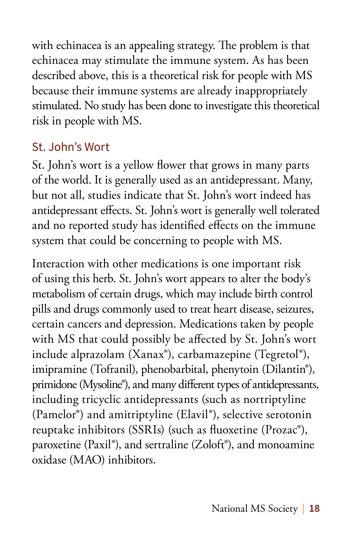with echinacea is an appealing strategy. The problem is that echinacea may stimulate the immune system. As has been described above, this is a theoretical risk for people with MS because their immune systems are already inappropriately stimulated. No study has been done to investigate this theoretical risk in people with MS.

### St. John's Wort

St. John's wort is a yellow flower that grows in many parts of the world. It is generally used as an antidepressant. Many, but not all, studies indicate that St. John's wort indeed has antidepressant effects. St. John's wort is generally well tolerated and no reported study has identified effects on the immune system that could be concerning to people with MS.

Interaction with other medications is one important risk of using this herb. St. John's wort appears to alter the body's metabolism of certain drugs, which may include birth control pills and drugs commonly used to treat heart disease, seizures, certain cancers and depression. Medications taken by people with MS that could possibly be affected by St. John's wort include alprazolam (Xanax®), carbamazepine (Tegretol®), imipramine (Tofranil), phenobarbital, phenytoin (Dilantin®), primidone (Mysoline®), and many different types of antidepressants, including tricyclic antidepressants (such as nortriptyline (Pamelor®) and amitriptyline (Elavil®), selective serotonin reuptake inhibitors (SSRIs) (such as fluoxetine (Prozac®), paroxetine (Paxil®), and sertraline (Zoloft®), and monoamine oxidase (MAO) inhibitors.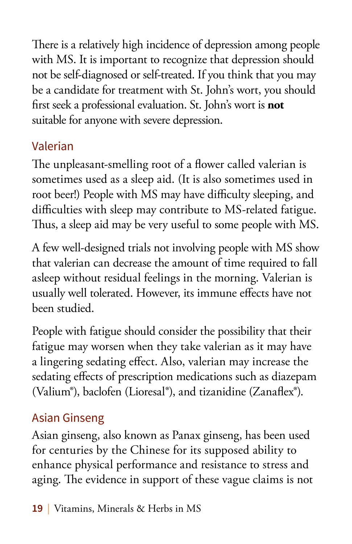There is a relatively high incidence of depression among people with MS. It is important to recognize that depression should not be self-diagnosed or self-treated. If you think that you may be a candidate for treatment with St. John's wort, you should first seek a professional evaluation. St. John's wort is **not** suitable for anyone with severe depression.

## Valerian

The unpleasant-smelling root of a flower called valerian is sometimes used as a sleep aid. (It is also sometimes used in root beer!) People with MS may have difficulty sleeping, and difficulties with sleep may contribute to MS-related fatigue. Thus, a sleep aid may be very useful to some people with MS.

A few well-designed trials not involving people with MS show that valerian can decrease the amount of time required to fall asleep without residual feelings in the morning. Valerian is usually well tolerated. However, its immune effects have not been studied.

People with fatigue should consider the possibility that their fatigue may worsen when they take valerian as it may have a lingering sedating effect. Also, valerian may increase the sedating effects of prescription medications such as diazepam (Valium®), baclofen (Lioresal®), and tizanidine (Zanaflex®).

## Asian Ginseng

Asian ginseng, also known as Panax ginseng, has been used for centuries by the Chinese for its supposed ability to enhance physical performance and resistance to stress and aging. The evidence in support of these vague claims is not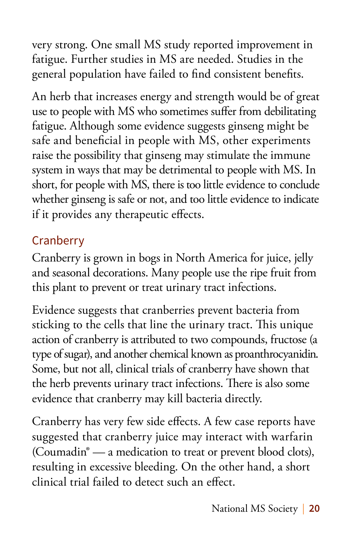very strong. One small MS study reported improvement in fatigue. Further studies in MS are needed. Studies in the general population have failed to find consistent benefits.

An herb that increases energy and strength would be of great use to people with MS who sometimes suffer from debilitating fatigue. Although some evidence suggests ginseng might be safe and beneficial in people with MS, other experiments raise the possibility that ginseng may stimulate the immune system in ways that may be detrimental to people with MS. In short, for people with MS, there is too little evidence to conclude whether ginseng is safe or not, and too little evidence to indicate if it provides any therapeutic effects.

### **Cranberry**

Cranberry is grown in bogs in North America for juice, jelly and seasonal decorations. Many people use the ripe fruit from this plant to prevent or treat urinary tract infections.

Evidence suggests that cranberries prevent bacteria from sticking to the cells that line the urinary tract. This unique action of cranberry is attributed to two compounds, fructose (a type of sugar), and another chemical known as proanthrocyanidin. Some, but not all, clinical trials of cranberry have shown that the herb prevents urinary tract infections. There is also some evidence that cranberry may kill bacteria directly.

Cranberry has very few side effects. A few case reports have suggested that cranberry juice may interact with warfarin (Coumadin® — a medication to treat or prevent blood clots), resulting in excessive bleeding. On the other hand, a short clinical trial failed to detect such an effect.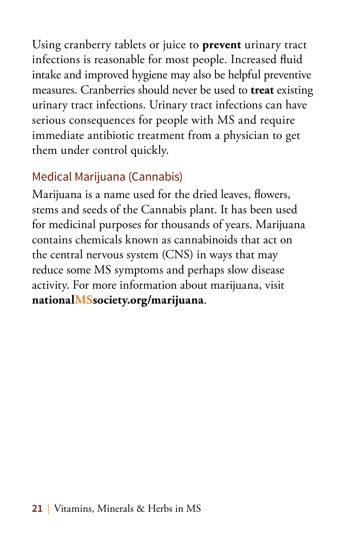Using cranberry tablets or juice to **prevent** urinary tract infections is reasonable for most people. Increased fluid intake and improved hygiene may also be helpful preventive measures. Cranberries should never be used to **treat** existing urinary tract infections. Urinary tract infections can have serious consequences for people with MS and require immediate antibiotic treatment from a physician to get them under control quickly.

## Medical Marijuana (Cannabis)

Marijuana is a name used for the dried leaves, flowers, stems and seeds of the Cannabis plant. It has been used for medicinal purposes for thousands of years. Marijuana contains chemicals known as cannabinoids that act on the central nervous system (CNS) in ways that may reduce some MS symptoms and perhaps slow disease activity. For more information about marijuana, visit **nationalMSsociety.org/marijuana**.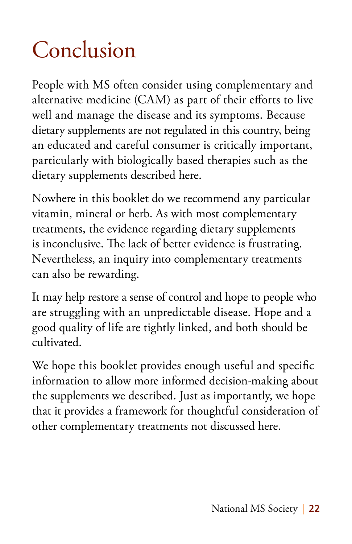# Conclusion

People with MS often consider using complementary and alternative medicine (CAM) as part of their efforts to live well and manage the disease and its symptoms. Because dietary supplements are not regulated in this country, being an educated and careful consumer is critically important, particularly with biologically based therapies such as the dietary supplements described here.

Nowhere in this booklet do we recommend any particular vitamin, mineral or herb. As with most complementary treatments, the evidence regarding dietary supplements is inconclusive. The lack of better evidence is frustrating. Nevertheless, an inquiry into complementary treatments can also be rewarding.

It may help restore a sense of control and hope to people who are struggling with an unpredictable disease. Hope and a good quality of life are tightly linked, and both should be cultivated.

We hope this booklet provides enough useful and specific information to allow more informed decision-making about the supplements we described. Just as importantly, we hope that it provides a framework for thoughtful consideration of other complementary treatments not discussed here.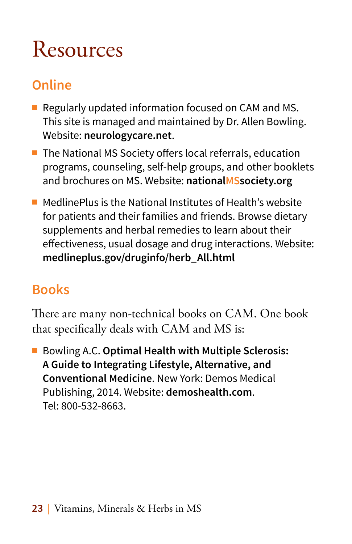## Resources

## **Online**

- $\blacksquare$  Regularly updated information focused on CAM and MS. This site is managed and maintained by Dr. Allen Bowling. Website: **neurologycare.net**.
- $\blacksquare$  The National MS Society offers local referrals, education programs, counseling, self-help groups, and other booklets and brochures on MS. Website: **nationalMSsociety.org**
- $\blacksquare$  MedlinePlus is the National Institutes of Health's website for patients and their families and friends. Browse dietary supplements and herbal remedies to learn about their effectiveness, usual dosage and drug interactions. Website: **medlineplus.gov/druginfo/herb\_All.html**

## **Books**

There are many non-technical books on CAM. One book that specifically deals with CAM and MS is:

■ Bowling A.C. **Optimal Health with Multiple Sclerosis: A Guide to Integrating Lifestyle, Alternative, and Conventional Medicine**. New York: Demos Medical Publishing, 2014. Website: **demoshealth.com**. Tel: 800-532-8663.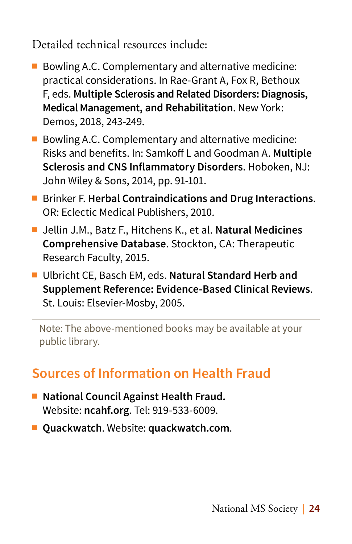Detailed technical resources include:

- $\blacksquare$  Bowling A.C. Complementary and alternative medicine: practical considerations. In Rae-Grant A, Fox R, Bethoux F, eds. **Multiple Sclerosis and Related Disorders: Diagnosis, Medical Management, and Rehabilitation**. New York: Demos, 2018, 243-249.
- Bowling A.C. Complementary and alternative medicine: Risks and benefits. In: Samkoff L and Goodman A. **Multiple Sclerosis and CNS Inflammatory Disorders**. Hoboken, NJ: John Wiley & Sons, 2014, pp. 91-101.
- Brinker F. **Herbal Contraindications and Drug Interactions.** OR: Eclectic Medical Publishers, 2010.
- Jellin J.M., Batz F., Hitchens K., et al. **Natural Medicines Comprehensive Database**. Stockton, CA: Therapeutic Research Faculty, 2015.
- Ulbricht CE, Basch EM, eds. Natural Standard Herb and **Supplement Reference: Evidence-Based Clinical Reviews**. St. Louis: Elsevier-Mosby, 2005.

Note: The above-mentioned books may be available at your public library.

## **Sources of Information on Health Fraud**

- National Council Against Health Fraud. Website: **ncahf.org**. Tel: 919-533-6009.
- <sup>n</sup> **Quackwatch**. Website: **quackwatch.com**.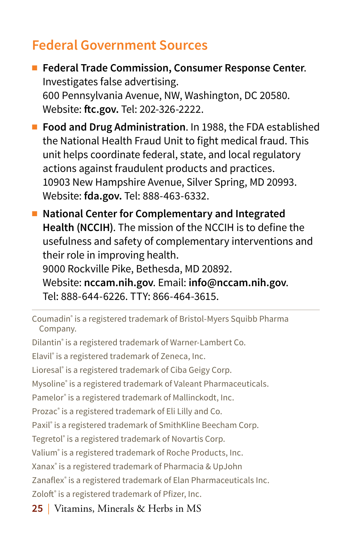## **Federal Government Sources**

- Federal Trade Commission, Consumer Response Center. Investigates false advertising. 600 Pennsylvania Avenue, NW, Washington, DC 20580. Website: **ftc.gov.** Tel: 202-326-2222.
- **Food and Drug Administration**. In 1988, the FDA established the National Health Fraud Unit to fight medical fraud. This unit helps coordinate federal, state, and local regulatory actions against fraudulent products and practices. 10903 New Hampshire Avenue, Silver Spring, MD 20993. Website: **fda.gov.** Tel: 888-463-6332.
- National Center for Complementary and Integrated **Health (NCCIH)**. The mission of the NCCIH is to define the usefulness and safety of complementary interventions and their role in improving health. 9000 Rockville Pike, Bethesda, MD 20892.

Website: **nccam.nih.gov**. Email: **info@nccam.nih.gov**. Tel: 888-644-6226. TTY: 866-464-3615.

**25** | Vitamins, Minerals & Herbs in MS Coumadin® is a registered trademark of Bristol-Myers Squibb Pharma Company. Dilantin® is a registered trademark of Warner-Lambert Co. Elavil® is a registered trademark of Zeneca, Inc. Lioresal® is a registered trademark of Ciba Geigy Corp. Mysoline® is a registered trademark of Valeant Pharmaceuticals. Pamelor® is a registered trademark of Mallinckodt, Inc. Prozac® is a registered trademark of Eli Lilly and Co. Paxil® is a registered trademark of SmithKline Beecham Corp. Tegretol® is a registered trademark of Novartis Corp. Valium® is a registered trademark of Roche Products, Inc. Xanax® is a registered trademark of Pharmacia & UpJohn Zanaflex® is a registered trademark of Elan Pharmaceuticals Inc. Zoloft<sup>®</sup> is a registered trademark of Pfizer, Inc.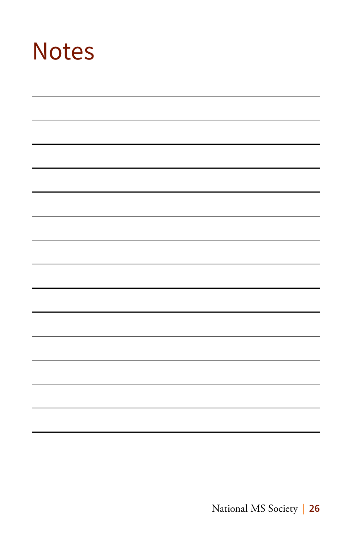## **Notes**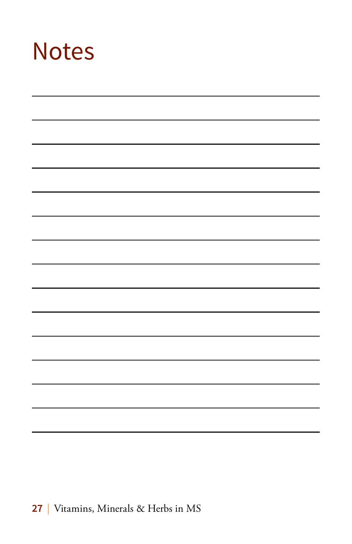## Notes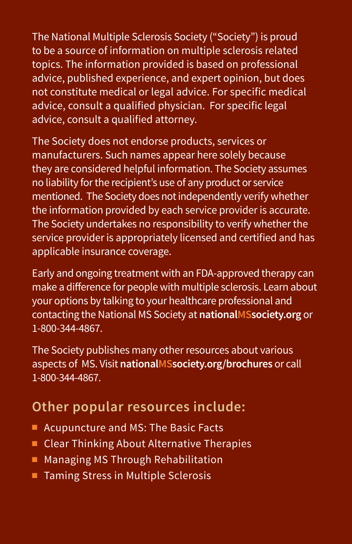The National Multiple Sclerosis Society ("Society") is proud to be a source of information on multiple sclerosis related topics. The information provided is based on professional advice, published experience, and expert opinion, but does not constitute medical or legal advice. For specific medical advice, consult a qualified physician. For specific legal advice, consult a qualified attorney.

The Society does not endorse products, services or manufacturers. Such names appear here solely because they are considered helpful information. The Society assumes no liability for the recipient's use of any product or service mentioned. The Society does not independently verify whether the information provided by each service provider is accurate. The Society undertakes no responsibility to verify whether the service provider is appropriately licensed and certified and has applicable insurance coverage.

Early and ongoing treatment with an FDA-approved therapy can make a difference for people with multiple sclerosis. Learn about your options by talking to your healthcare professional and contacting the National MS Society at **nationalMSsociety.org** or 1-800-344-4867.

The Society publishes many other resources about various aspects of MS. Visit **nationalMSsociety.org/brochures** or call 1-800-344-4867.

## **Other popular resources include:**

- Acupuncture and MS: The Basic Facts
- $\blacksquare$  Clear Thinking About Alternative Therapies
- Managing MS Through Rehabilitation
- Taming Stress in Multiple Sclerosis